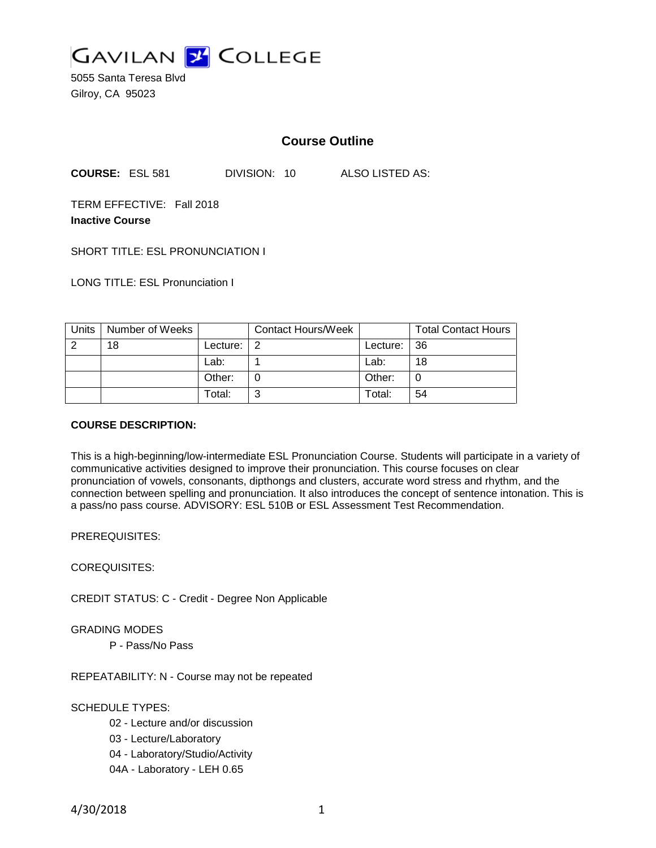

5055 Santa Teresa Blvd Gilroy, CA 95023

# **Course Outline**

**COURSE:** ESL 581 DIVISION: 10 ALSO LISTED AS:

TERM EFFECTIVE: Fall 2018 **Inactive Course**

SHORT TITLE: ESL PRONUNCIATION I

LONG TITLE: ESL Pronunciation I

| Units | Number of Weeks |          | <b>Contact Hours/Week</b> |             | <b>Total Contact Hours</b> |
|-------|-----------------|----------|---------------------------|-------------|----------------------------|
| റ     | 18              | Lecture: | ່າ                        | Lecture: 36 |                            |
|       |                 | Lab:     |                           | Lab:        | 18                         |
|       |                 | Other:   |                           | Other:      |                            |
|       |                 | Total:   | ີ                         | Total:      | 54                         |

#### **COURSE DESCRIPTION:**

This is a high-beginning/low-intermediate ESL Pronunciation Course. Students will participate in a variety of communicative activities designed to improve their pronunciation. This course focuses on clear pronunciation of vowels, consonants, dipthongs and clusters, accurate word stress and rhythm, and the connection between spelling and pronunciation. It also introduces the concept of sentence intonation. This is a pass/no pass course. ADVISORY: ESL 510B or ESL Assessment Test Recommendation.

PREREQUISITES:

COREQUISITES:

CREDIT STATUS: C - Credit - Degree Non Applicable

GRADING MODES

P - Pass/No Pass

REPEATABILITY: N - Course may not be repeated

SCHEDULE TYPES:

- 02 Lecture and/or discussion
- 03 Lecture/Laboratory
- 04 Laboratory/Studio/Activity
- 04A Laboratory LEH 0.65

4/30/2018 1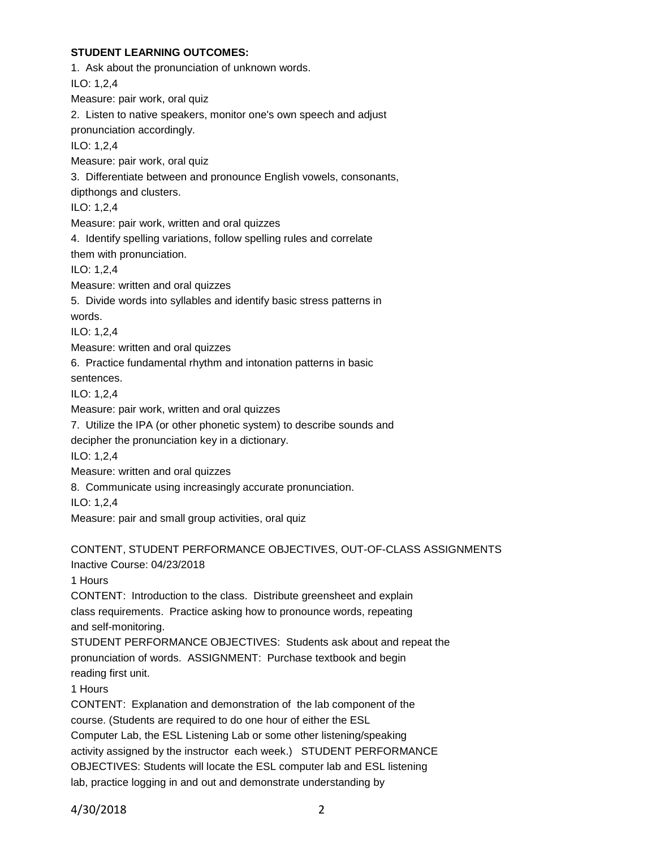## **STUDENT LEARNING OUTCOMES:**

1. Ask about the pronunciation of unknown words. ILO: 1,2,4 Measure: pair work, oral quiz 2. Listen to native speakers, monitor one's own speech and adjust pronunciation accordingly. ILO: 1,2,4 Measure: pair work, oral quiz 3. Differentiate between and pronounce English vowels, consonants, dipthongs and clusters. ILO: 1,2,4 Measure: pair work, written and oral quizzes 4. Identify spelling variations, follow spelling rules and correlate them with pronunciation. ILO: 1,2,4 Measure: written and oral quizzes 5. Divide words into syllables and identify basic stress patterns in words. ILO: 1,2,4 Measure: written and oral quizzes 6. Practice fundamental rhythm and intonation patterns in basic sentences. ILO: 1,2,4 Measure: pair work, written and oral quizzes 7. Utilize the IPA (or other phonetic system) to describe sounds and decipher the pronunciation key in a dictionary. ILO: 1,2,4 Measure: written and oral quizzes 8. Communicate using increasingly accurate pronunciation. ILO: 1,2,4 Measure: pair and small group activities, oral quiz CONTENT, STUDENT PERFORMANCE OBJECTIVES, OUT-OF-CLASS ASSIGNMENTS Inactive Course: 04/23/2018 1 Hours CONTENT: Introduction to the class. Distribute greensheet and explain class requirements. Practice asking how to pronounce words, repeating and self-monitoring. STUDENT PERFORMANCE OBJECTIVES: Students ask about and repeat the pronunciation of words. ASSIGNMENT: Purchase textbook and begin reading first unit. 1 Hours

CONTENT: Explanation and demonstration of the lab component of the course. (Students are required to do one hour of either the ESL Computer Lab, the ESL Listening Lab or some other listening/speaking activity assigned by the instructor each week.) STUDENT PERFORMANCE OBJECTIVES: Students will locate the ESL computer lab and ESL listening lab, practice logging in and out and demonstrate understanding by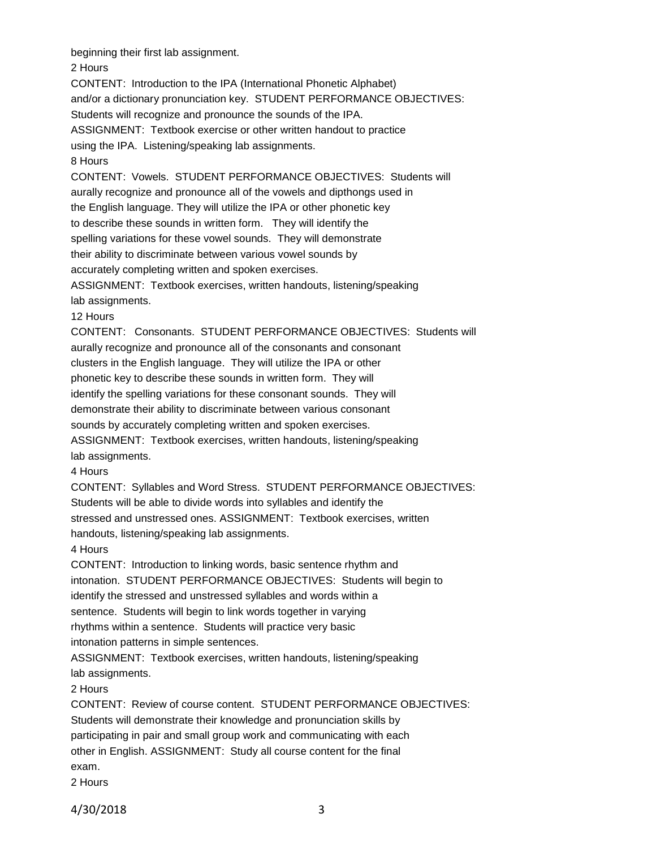beginning their first lab assignment.

2 Hours

CONTENT: Introduction to the IPA (International Phonetic Alphabet)

and/or a dictionary pronunciation key. STUDENT PERFORMANCE OBJECTIVES:

Students will recognize and pronounce the sounds of the IPA.

ASSIGNMENT: Textbook exercise or other written handout to practice

using the IPA. Listening/speaking lab assignments.

8 Hours

CONTENT: Vowels. STUDENT PERFORMANCE OBJECTIVES: Students will aurally recognize and pronounce all of the vowels and dipthongs used in the English language. They will utilize the IPA or other phonetic key to describe these sounds in written form. They will identify the spelling variations for these vowel sounds. They will demonstrate their ability to discriminate between various vowel sounds by

accurately completing written and spoken exercises.

ASSIGNMENT: Textbook exercises, written handouts, listening/speaking lab assignments.

12 Hours

CONTENT: Consonants. STUDENT PERFORMANCE OBJECTIVES: Students will aurally recognize and pronounce all of the consonants and consonant clusters in the English language. They will utilize the IPA or other phonetic key to describe these sounds in written form. They will identify the spelling variations for these consonant sounds. They will demonstrate their ability to discriminate between various consonant sounds by accurately completing written and spoken exercises. ASSIGNMENT: Textbook exercises, written handouts, listening/speaking

lab assignments.

4 Hours

CONTENT: Syllables and Word Stress. STUDENT PERFORMANCE OBJECTIVES:

Students will be able to divide words into syllables and identify the

stressed and unstressed ones. ASSIGNMENT: Textbook exercises, written

handouts, listening/speaking lab assignments.

4 Hours

CONTENT: Introduction to linking words, basic sentence rhythm and intonation. STUDENT PERFORMANCE OBJECTIVES: Students will begin to identify the stressed and unstressed syllables and words within a sentence. Students will begin to link words together in varying rhythms within a sentence. Students will practice very basic intonation patterns in simple sentences.

ASSIGNMENT: Textbook exercises, written handouts, listening/speaking lab assignments.

2 Hours

CONTENT: Review of course content. STUDENT PERFORMANCE OBJECTIVES: Students will demonstrate their knowledge and pronunciation skills by participating in pair and small group work and communicating with each other in English. ASSIGNMENT: Study all course content for the final exam.

2 Hours

4/30/2018 3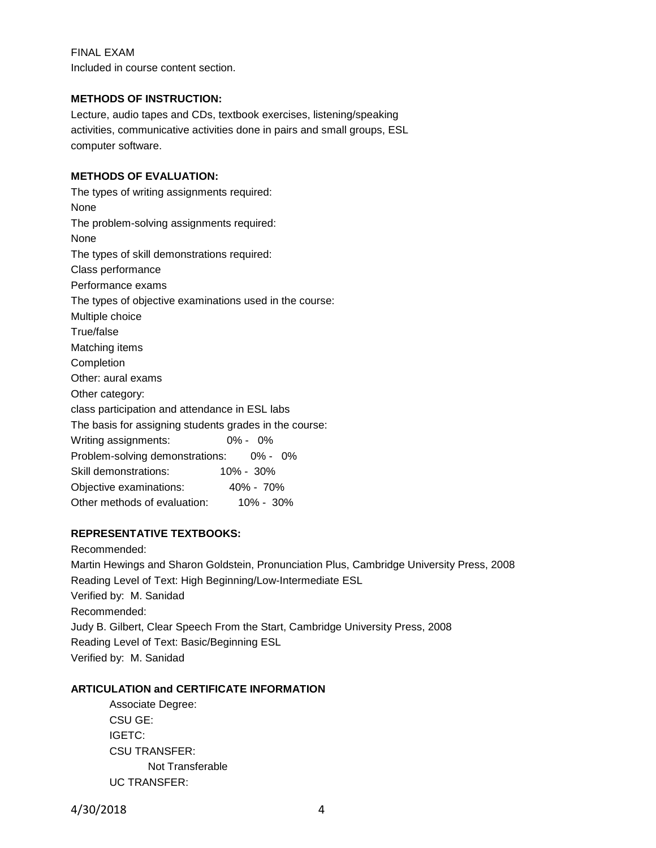## FINAL EXAM

Included in course content section.

#### **METHODS OF INSTRUCTION:**

Lecture, audio tapes and CDs, textbook exercises, listening/speaking activities, communicative activities done in pairs and small groups, ESL computer software.

## **METHODS OF EVALUATION:**

The types of writing assignments required: None The problem-solving assignments required: None The types of skill demonstrations required: Class performance Performance exams The types of objective examinations used in the course: Multiple choice True/false Matching items Completion Other: aural exams Other category: class participation and attendance in ESL labs The basis for assigning students grades in the course: Writing assignments: 0% - 0% Problem-solving demonstrations: 0% - 0% Skill demonstrations: 10% - 30% Objective examinations: 40% - 70% Other methods of evaluation: 10% - 30%

## **REPRESENTATIVE TEXTBOOKS:**

Recommended: Martin Hewings and Sharon Goldstein, Pronunciation Plus, Cambridge University Press, 2008 Reading Level of Text: High Beginning/Low-Intermediate ESL Verified by: M. Sanidad Recommended: Judy B. Gilbert, Clear Speech From the Start, Cambridge University Press, 2008 Reading Level of Text: Basic/Beginning ESL Verified by: M. Sanidad

## **ARTICULATION and CERTIFICATE INFORMATION**

Associate Degree: CSU GE: IGETC: CSU TRANSFER: Not Transferable UC TRANSFER: